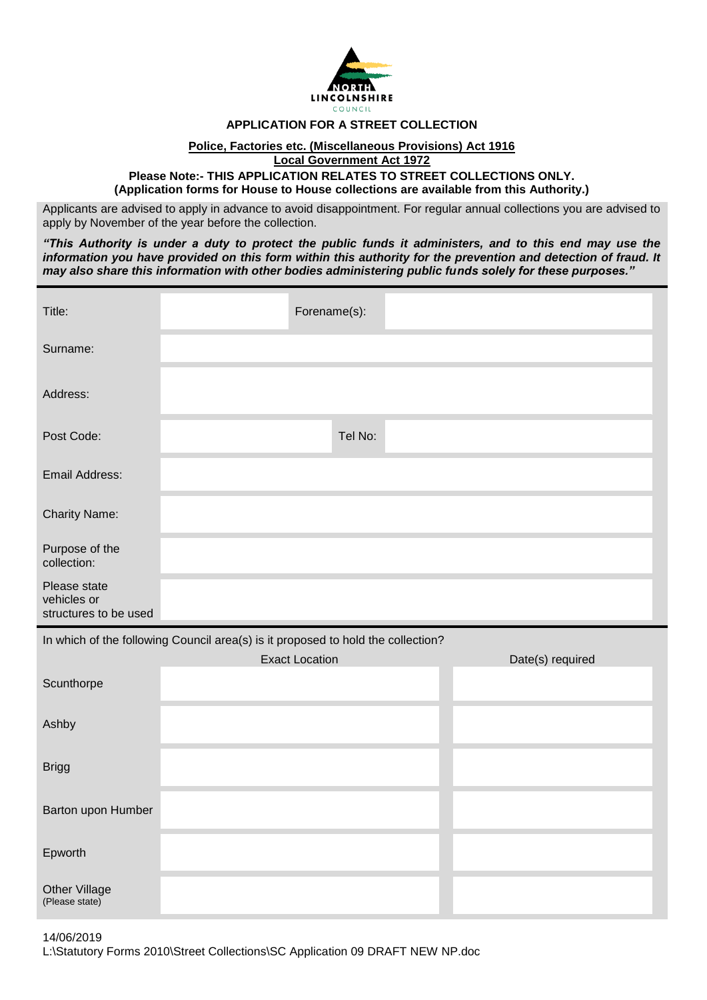

## **APPLICATION FOR A STREET COLLECTION**

## **Police, Factories etc. (Miscellaneous Provisions) Act 1916**

**Local Government Act 1972**

**Please Note:- THIS APPLICATION RELATES TO STREET COLLECTIONS ONLY. (Application forms for House to House collections are available from this Authority.)**

Applicants are advised to apply in advance to avoid disappointment. For regular annual collections you are advised to apply by November of the year before the collection.

*"This Authority is under a duty to protect the public funds it administers, and to this end may use the information you have provided on this form within this authority for the prevention and detection of fraud. It may also share this information with other bodies administering public funds solely for these purposes."*

| Title:                               | Forename(s):                                                                     |                  |
|--------------------------------------|----------------------------------------------------------------------------------|------------------|
| Surname:                             |                                                                                  |                  |
| Address:                             |                                                                                  |                  |
| Post Code:                           | Tel No:                                                                          |                  |
| Email Address:                       |                                                                                  |                  |
| <b>Charity Name:</b>                 |                                                                                  |                  |
| Purpose of the<br>collection:        |                                                                                  |                  |
| Please state                         |                                                                                  |                  |
| vehicles or<br>structures to be used |                                                                                  |                  |
|                                      | In which of the following Council area(s) is it proposed to hold the collection? |                  |
| Scunthorpe                           | <b>Exact Location</b>                                                            | Date(s) required |
| Ashby                                |                                                                                  |                  |
| <b>Brigg</b>                         |                                                                                  |                  |
| Barton upon Humber                   |                                                                                  |                  |
| Epworth                              |                                                                                  |                  |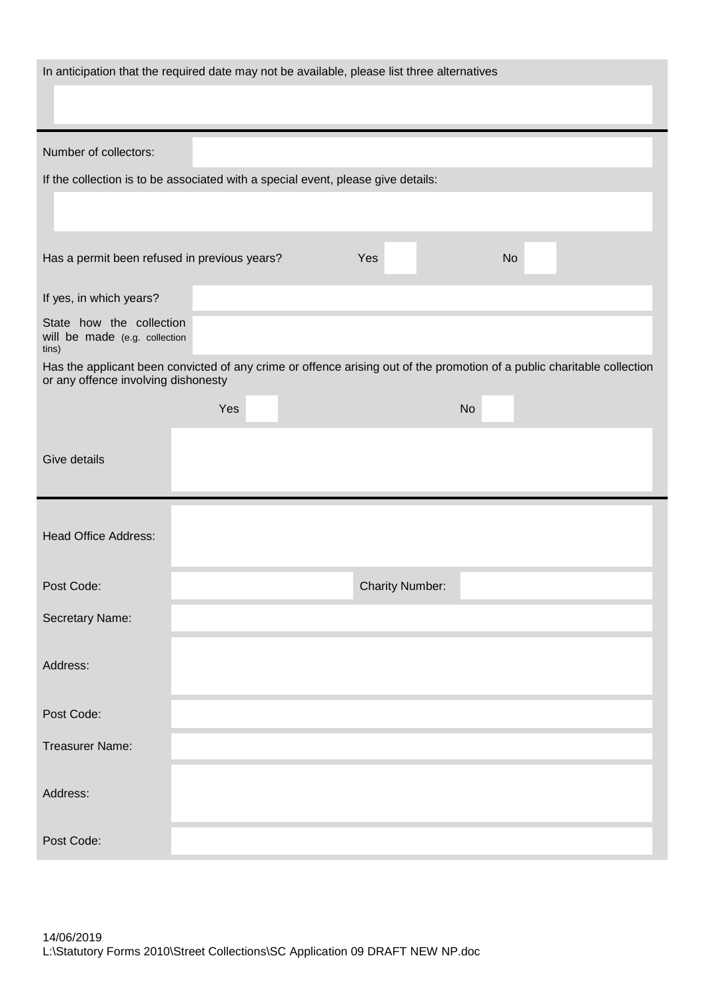| In anticipation that the required date may not be available, please list three alternatives                                                                    |     |                        |  |  |  |  |
|----------------------------------------------------------------------------------------------------------------------------------------------------------------|-----|------------------------|--|--|--|--|
|                                                                                                                                                                |     |                        |  |  |  |  |
| Number of collectors:                                                                                                                                          |     |                        |  |  |  |  |
| If the collection is to be associated with a special event, please give details:                                                                               |     |                        |  |  |  |  |
|                                                                                                                                                                |     |                        |  |  |  |  |
| Has a permit been refused in previous years?                                                                                                                   | Yes | <b>No</b>              |  |  |  |  |
| If yes, in which years?                                                                                                                                        |     |                        |  |  |  |  |
| State how the collection<br>will be made (e.g. collection<br>tins)                                                                                             |     |                        |  |  |  |  |
| Has the applicant been convicted of any crime or offence arising out of the promotion of a public charitable collection<br>or any offence involving dishonesty |     |                        |  |  |  |  |
|                                                                                                                                                                | Yes | <b>No</b>              |  |  |  |  |
| <b>Give details</b>                                                                                                                                            |     |                        |  |  |  |  |
| <b>Head Office Address:</b>                                                                                                                                    |     |                        |  |  |  |  |
| Post Code:                                                                                                                                                     |     | <b>Charity Number:</b> |  |  |  |  |
| Secretary Name:                                                                                                                                                |     |                        |  |  |  |  |
| Address:                                                                                                                                                       |     |                        |  |  |  |  |
| Post Code:                                                                                                                                                     |     |                        |  |  |  |  |
| <b>Treasurer Name:</b>                                                                                                                                         |     |                        |  |  |  |  |
| Address:                                                                                                                                                       |     |                        |  |  |  |  |
| Post Code:                                                                                                                                                     |     |                        |  |  |  |  |